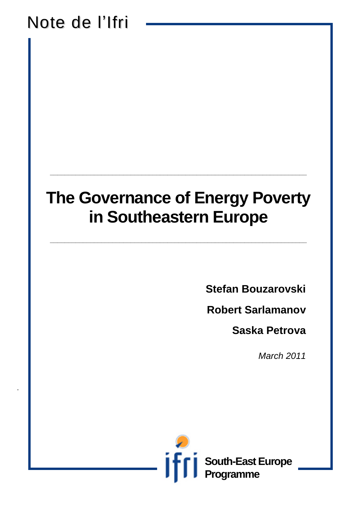## Note de l'Ifri

.

## **The Governance of Energy Poverty in Southeastern Europe**

**\_\_\_\_\_\_\_\_\_\_\_\_\_\_\_\_\_\_\_\_\_\_\_\_\_\_\_\_\_\_\_\_\_\_\_\_\_\_\_\_\_\_\_\_\_\_\_\_\_\_\_\_\_\_\_\_\_\_\_\_\_\_\_\_\_\_\_\_\_\_**

**\_\_\_\_\_\_\_\_\_\_\_\_\_\_\_\_\_\_\_\_\_\_\_\_\_\_\_\_\_\_\_\_\_\_\_\_\_\_\_\_\_\_\_\_\_\_\_\_\_\_\_\_\_\_\_\_\_\_\_\_\_\_\_\_\_\_\_\_\_\_**

**Stefan Bouzarovski**

**Robert Sarlamanov**

**Saska Petrova**

*March 2011*